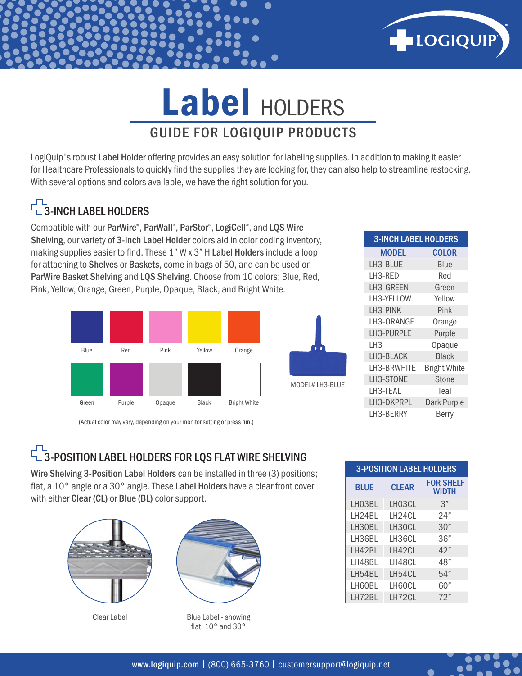

# GUIDE FOR LOGIQUIP PRODUCTS Label HOLDERS

LogiQuip's robust Label Holder offering provides an easy solution for labeling supplies. In addition to making it easier for Healthcare Professionals to quickly find the supplies they are looking for, they can also help to streamline restocking. With several options and colors available, we have the right solution for you.

### **L**<sub>3</sub>-INCH LABEL HOLDERS

Compatible with our ParWire®, ParWall®, ParStor®, LogiCell®, and LQS Wire Shelving, our variety of 3-Inch Label Holder colors aid in color coding inventory, making supplies easier to find. These 1" W x 3" H Label Holders include a loop for attaching to Shelves or Baskets, come in bags of 50, and can be used on ParWire Basket Shelving and LQS Shelving. Choose from 10 colors; Blue, Red, Pink, Yellow, Orange, Green, Purple, Opaque, Black, and Bright White.



(Actual color may vary, depending on your monitor setting or press run.)

#### 5-POSITION LABEL HOLDERS FOR LQS FLAT WIRE SHELVING

Wire Shelving 3-Position Label Holders can be installed in three (3) positions; flat, a 10° angle or a 30° angle. These Label Holders have a clear front cover with either Clear (CL) or Blue (BL) color support.





Clear Label Blue Label - showing flat, 10° and 30°

| <b>3-INCH LABEL HOLDERS</b> |                     |  |
|-----------------------------|---------------------|--|
| <b>MODEL</b>                | COLOR               |  |
| LH3-BLUE                    | <b>Blue</b>         |  |
| LH3-RED                     | Red                 |  |
| LH3-GREEN                   | Green               |  |
| LH3-YELLOW                  | Yellow              |  |
| LH3-PINK                    | Pink                |  |
| LH3-ORANGE                  | Orange              |  |
| <b>LH3-PURPLE</b>           | Purple              |  |
| I H3                        | Opaque              |  |
| LH3-BLACK                   | <b>Black</b>        |  |
| LH3-BRWHITE                 | <b>Bright White</b> |  |
| LH3-STONE                   | <b>Stone</b>        |  |
| LH3-TEAL                    | Teal                |  |
| LH3-DKPRPL                  | Dark Purple         |  |
| LH3-BERRY                   | Berry               |  |

| <b>3-POSITION LABEL HOLDERS</b> |              |                           |  |
|---------------------------------|--------------|---------------------------|--|
| <b>BLUE</b>                     | <b>CLEAR</b> | <b>FOR SHELF</b><br>WIDTH |  |
| LH03BL                          | LH03CL       | $\mathcal{S}''$           |  |
| I H24BL                         | I H24CL      | 24"                       |  |
| LH30BL                          | LH30CL       | 30"                       |  |
| I H36BL                         | I H36CL      | 36"                       |  |
| I H42BI                         | I H42CL      | 42"                       |  |
| I H48BI                         | I H48CL      | 48"                       |  |
| LH54BL                          | I H54CL      | 54"                       |  |
| I H60BI                         | LH60CL       | 60"                       |  |
| I H72BI                         | LH72CL       | 72"                       |  |